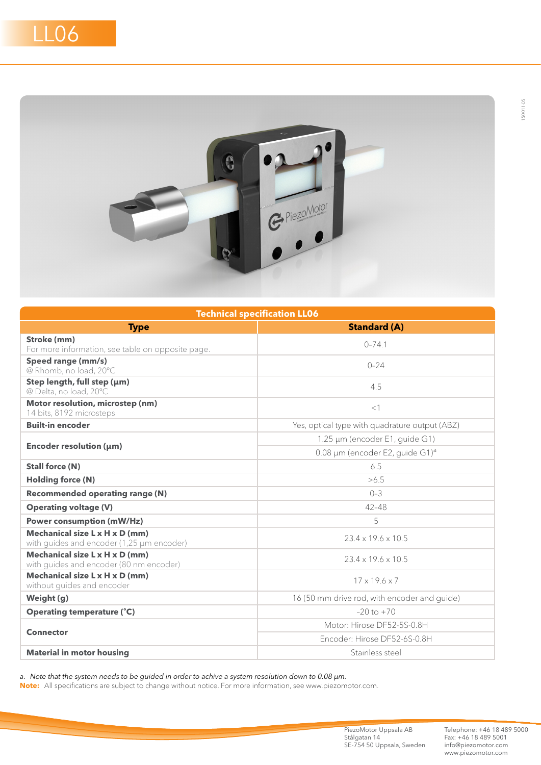

| <b>Technical specification LL06</b>                                         |                                                |  |
|-----------------------------------------------------------------------------|------------------------------------------------|--|
| <b>Type</b>                                                                 | <b>Standard (A)</b>                            |  |
| Stroke (mm)                                                                 | $0 - 741$                                      |  |
| For more information, see table on opposite page.                           |                                                |  |
| Speed range (mm/s)<br>@ Rhomb, no load, 20°C                                | $0 - 24$                                       |  |
| Step length, full step (µm)<br>@ Delta, no load, 20°C                       | 4.5                                            |  |
| Motor resolution, microstep (nm)<br>14 bits, 8192 microsteps                | <1                                             |  |
| <b>Built-in encoder</b>                                                     | Yes, optical type with quadrature output (ABZ) |  |
| Encoder resolution (µm)                                                     | 1.25 µm (encoder E1, guide G1)                 |  |
|                                                                             | 0.08 µm (encoder E2, quide G1) <sup>a</sup>    |  |
| <b>Stall force (N)</b>                                                      | 6.5                                            |  |
| <b>Holding force (N)</b>                                                    | >6.5                                           |  |
| <b>Recommended operating range (N)</b>                                      | $0 - 3$                                        |  |
| <b>Operating voltage (V)</b>                                                | $42 - 48$                                      |  |
| <b>Power consumption (mW/Hz)</b>                                            | 5                                              |  |
| Mechanical size L x H x D (mm)<br>with guides and encoder (1,25 µm encoder) | $23.4 \times 19.6 \times 10.5$                 |  |
| Mechanical size L x H x D (mm)<br>with quides and encoder (80 nm encoder)   | $234 \times 196 \times 105$                    |  |
| Mechanical size L x H x D (mm)<br>without guides and encoder                | $17 \times 19.6 \times 7$                      |  |
| Weight (g)                                                                  | 16 (50 mm drive rod, with encoder and guide)   |  |
| <b>Operating temperature (°C)</b>                                           | $-20$ to $+70$                                 |  |
| <b>Connector</b>                                                            | Motor: Hirose DF52-5S-0.8H                     |  |
|                                                                             | Fncoder: Hirose DF52-6S-0.8H                   |  |
| <b>Material in motor housing</b>                                            | Stainless steel                                |  |

*a. Note that the system needs to be guided in order to achive a system resolution down to 0.08 µm.*

**Note:** All specifications are subject to change without notice. For more information, see www.piezomotor.com.

PiezoMotor Uppsala AB Stålgatan 14 SE-754 50 Uppsala, Sweden